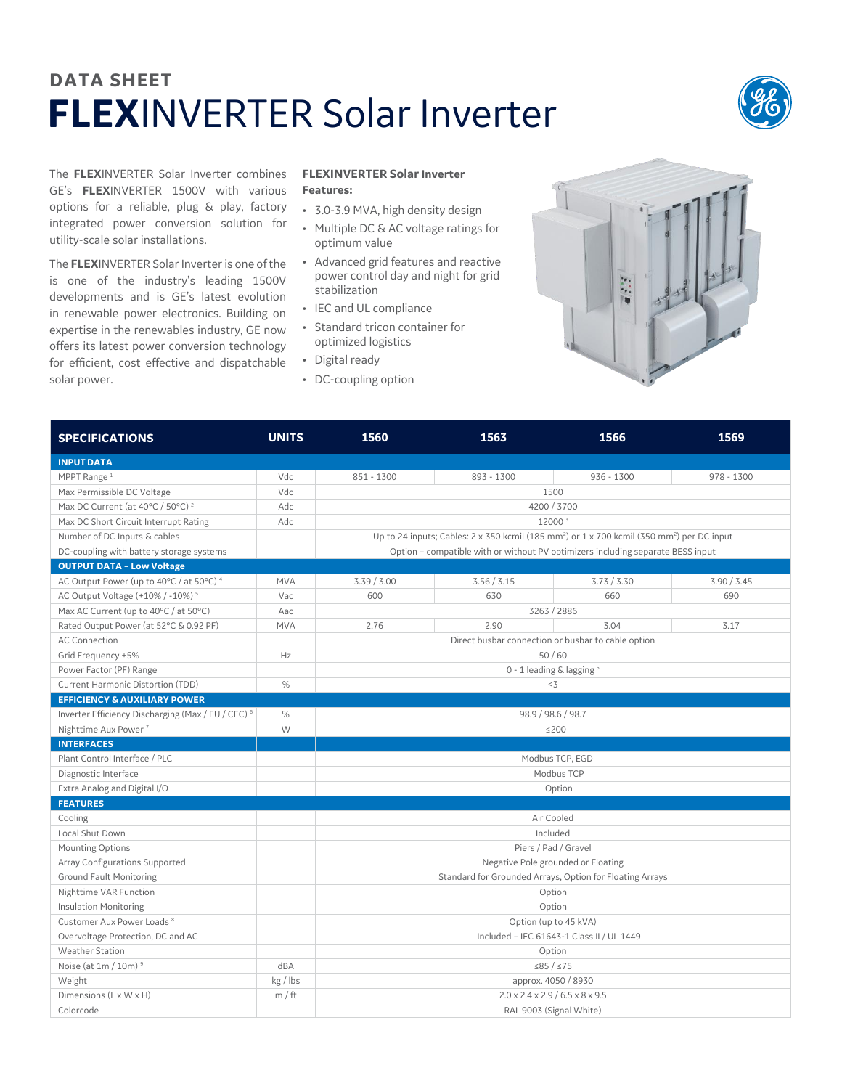## **DATA SHEET FLEX**INVERTER Solar Inverter



The **FLEX**INVERTER Solar Inverter combines GE's **FLEX**INVERTER 1500V with various options for a reliable, plug & play, factory integrated power conversion solution for utility-scale solar installations.

The **FLEX**INVERTER Solar Inverter is one ofthe is one of the industry's leading 1500V developments and is GE's latest evolution in renewable power electronics. Building on expertise in the renewables industry, GE now offers its latest power conversion technology for efficient, cost effective and dispatchable solar power.

## **FLEXINVERTER Solar Inverter Features:**

- 3.0-3.9 MVA, high density design
- Multiple DC & AC voltage ratings for optimum value
- Advanced grid features and reactive power control day and night for grid stabilization
- IEC and UL compliance
- Standard tricon container for optimized logistics
- Digital ready
- DC-coupling option



| <b>SPECIFICATIONS</b>                               | <b>UNITS</b> | 1560                                                                                                                             | 1563        | 1566         | 1569         |  |  |
|-----------------------------------------------------|--------------|----------------------------------------------------------------------------------------------------------------------------------|-------------|--------------|--------------|--|--|
| <b>INPUT DATA</b>                                   |              |                                                                                                                                  |             |              |              |  |  |
| MPPT Range <sup>1</sup>                             | Vdc          | $851 - 1300$                                                                                                                     | 893 - 1300  | $936 - 1300$ | $978 - 1300$ |  |  |
| Max Permissible DC Voltage                          | Vdc          | 1500                                                                                                                             |             |              |              |  |  |
| Max DC Current (at 40°C / 50°C) <sup>2</sup>        | Adc          | 4200 / 3700                                                                                                                      |             |              |              |  |  |
| Max DC Short Circuit Interrupt Rating               | Adc          | 12000 3                                                                                                                          |             |              |              |  |  |
| Number of DC Inputs & cables                        |              | Up to 24 inputs; Cables: $2 \times 350$ kcmil (185 mm <sup>2</sup> ) or $1 \times 700$ kcmil (350 mm <sup>2</sup> ) per DC input |             |              |              |  |  |
| DC-coupling with battery storage systems            |              | Option - compatible with or without PV optimizers including separate BESS input                                                  |             |              |              |  |  |
| <b>OUTPUT DATA - Low Voltage</b>                    |              |                                                                                                                                  |             |              |              |  |  |
| AC Output Power (up to 40°C / at 50°C) <sup>4</sup> | <b>MVA</b>   | 3.39 / 3.00                                                                                                                      | 3.56 / 3.15 | 3.73 / 3.30  | 3.90 / 3.45  |  |  |
| AC Output Voltage (+10% / -10%) <sup>5</sup>        | Vac          | 600                                                                                                                              | 630         | 660          | 690          |  |  |
| Max AC Current (up to 40°C / at 50°C)               | Aac          | 3263 / 2886                                                                                                                      |             |              |              |  |  |
| Rated Output Power (at 52°C & 0.92 PF)              | <b>MVA</b>   | 2.76                                                                                                                             | 2.90        | 3.04         | 3.17         |  |  |
| <b>AC Connection</b>                                |              | Direct busbar connection or busbar to cable option                                                                               |             |              |              |  |  |
| Grid Frequency ±5%                                  | Hz           | 50/60                                                                                                                            |             |              |              |  |  |
| Power Factor (PF) Range                             |              | 0 - 1 leading & lagging <sup>5</sup>                                                                                             |             |              |              |  |  |
| Current Harmonic Distortion (TDD)                   | %            | $<$ 3                                                                                                                            |             |              |              |  |  |
| <b>EFFICIENCY &amp; AUXILIARY POWER</b>             |              |                                                                                                                                  |             |              |              |  |  |
| Inverter Efficiency Discharging (Max / EU / CEC) 6  | %            | 98.9 / 98.6 / 98.7                                                                                                               |             |              |              |  |  |
| Nighttime Aux Power <sup>7</sup>                    | W            | $≤200$                                                                                                                           |             |              |              |  |  |
| <b>INTERFACES</b>                                   |              |                                                                                                                                  |             |              |              |  |  |
| Plant Control Interface / PLC                       |              | Modbus TCP, EGD                                                                                                                  |             |              |              |  |  |
| Diagnostic Interface                                |              | Modbus TCP                                                                                                                       |             |              |              |  |  |
| Extra Analog and Digital I/O                        |              | Option                                                                                                                           |             |              |              |  |  |
| <b>FEATURES</b>                                     |              |                                                                                                                                  |             |              |              |  |  |
| Cooling                                             |              | Air Cooled                                                                                                                       |             |              |              |  |  |
| Local Shut Down                                     |              | Included                                                                                                                         |             |              |              |  |  |
| Mounting Options                                    |              | Piers / Pad / Gravel                                                                                                             |             |              |              |  |  |
| Array Configurations Supported                      |              | Negative Pole grounded or Floating                                                                                               |             |              |              |  |  |
| <b>Ground Fault Monitoring</b>                      |              | Standard for Grounded Arrays, Option for Floating Arrays                                                                         |             |              |              |  |  |
| Nighttime VAR Function                              |              | Option                                                                                                                           |             |              |              |  |  |
| <b>Insulation Monitoring</b>                        |              | Option                                                                                                                           |             |              |              |  |  |
| Customer Aux Power Loads <sup>8</sup>               |              | Option (up to 45 kVA)                                                                                                            |             |              |              |  |  |
| Overvoltage Protection, DC and AC                   |              | Included - IEC 61643-1 Class II / UL 1449                                                                                        |             |              |              |  |  |
| <b>Weather Station</b>                              |              | Option                                                                                                                           |             |              |              |  |  |
| Noise (at $1m / 10m$ ) <sup>9</sup>                 | dBA          | ≤85 / ≤75                                                                                                                        |             |              |              |  |  |
| Weight                                              | kg / lbs     | approx. 4050 / 8930                                                                                                              |             |              |              |  |  |
| Dimensions (L x W x H)                              | m / ft       | $2.0 \times 2.4 \times 2.9 / 6.5 \times 8 \times 9.5$                                                                            |             |              |              |  |  |
| Colorcode                                           |              | RAL 9003 (Signal White)                                                                                                          |             |              |              |  |  |